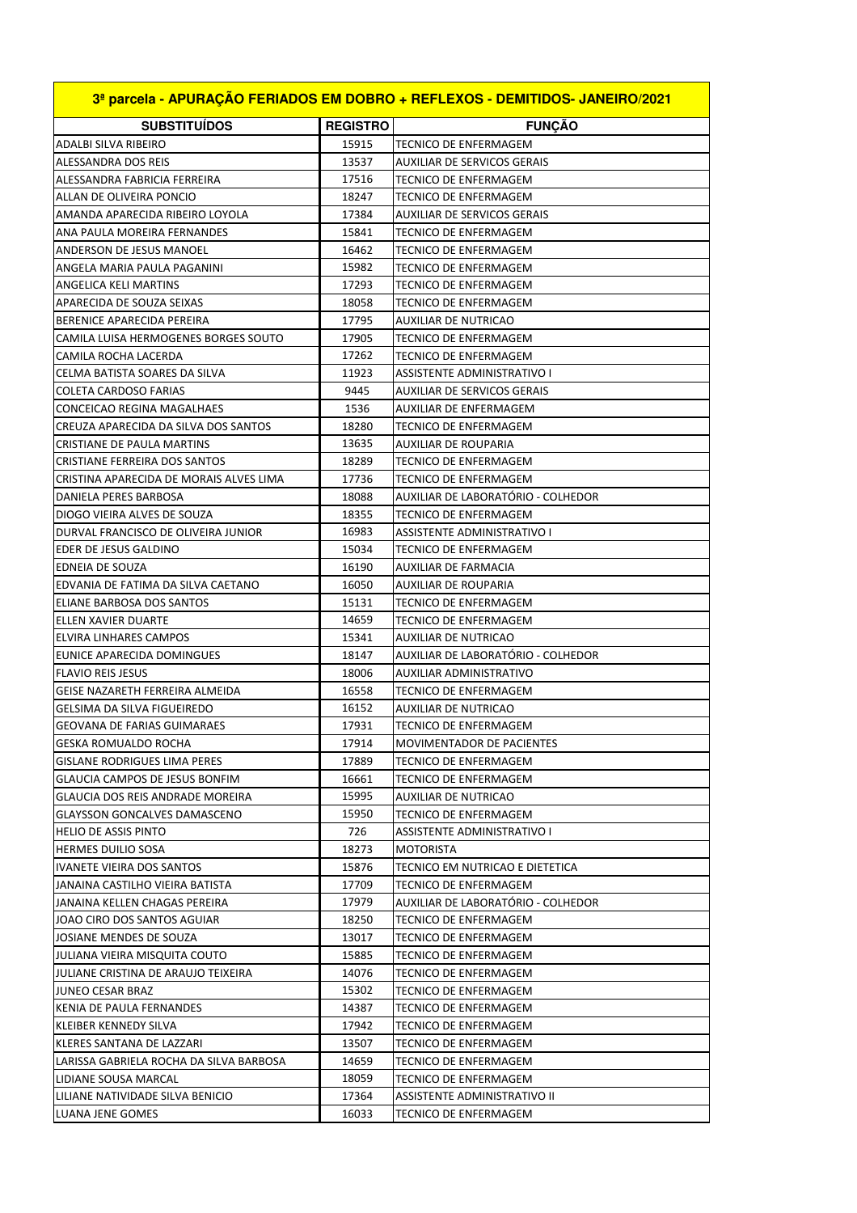| 3ª parcela - APURAÇÃO FERIADOS EM DOBRO + REFLEXOS - DEMITIDOS- JANEIRO/2021 |                 |                                    |  |  |
|------------------------------------------------------------------------------|-----------------|------------------------------------|--|--|
| <b>SUBSTITUÍDOS</b>                                                          | <b>REGISTRO</b> | <b>FUNÇÃO</b>                      |  |  |
| ADALBI SILVA RIBEIRO                                                         | 15915           | <b>TECNICO DE ENFERMAGEM</b>       |  |  |
| <b>ALESSANDRA DOS REIS</b>                                                   | 13537           | <b>AUXILIAR DE SERVICOS GERAIS</b> |  |  |
| ALESSANDRA FABRICIA FERREIRA                                                 | 17516           | TECNICO DE ENFERMAGEM              |  |  |
| ALLAN DE OLIVEIRA PONCIO                                                     | 18247           | TECNICO DE ENFERMAGEM              |  |  |
| AMANDA APARECIDA RIBEIRO LOYOLA                                              | 17384           | AUXILIAR DE SERVICOS GERAIS        |  |  |
| ANA PAULA MOREIRA FERNANDES                                                  | 15841           | <b>TECNICO DE ENFERMAGEM</b>       |  |  |
| ANDERSON DE JESUS MANOEL                                                     | 16462           | TECNICO DE ENFERMAGEM              |  |  |
| ANGELA MARIA PAULA PAGANINI                                                  | 15982           | <b>TECNICO DE ENFERMAGEM</b>       |  |  |
| ANGELICA KELI MARTINS                                                        | 17293           | TECNICO DE ENFERMAGEM              |  |  |
| APARECIDA DE SOUZA SEIXAS                                                    | 18058           | TECNICO DE ENFERMAGEM              |  |  |
| BERENICE APARECIDA PEREIRA                                                   | 17795           | AUXILIAR DE NUTRICAO               |  |  |
| CAMILA LUISA HERMOGENES BORGES SOUTO                                         | 17905           | TECNICO DE ENFERMAGEM              |  |  |
| CAMILA ROCHA LACERDA                                                         | 17262           | TECNICO DE ENFERMAGEM              |  |  |
| CELMA BATISTA SOARES DA SILVA                                                | 11923           | ASSISTENTE ADMINISTRATIVO I        |  |  |
| <b>COLETA CARDOSO FARIAS</b>                                                 | 9445            | <b>AUXILIAR DE SERVICOS GERAIS</b> |  |  |
| <b>CONCEICAO REGINA MAGALHAES</b>                                            | 1536            | AUXILIAR DE ENFERMAGEM             |  |  |
| CREUZA APARECIDA DA SILVA DOS SANTOS                                         | 18280           | TECNICO DE ENFERMAGEM              |  |  |
| <b>CRISTIANE DE PAULA MARTINS</b>                                            | 13635           | <b>AUXILIAR DE ROUPARIA</b>        |  |  |
| <b>CRISTIANE FERREIRA DOS SANTOS</b>                                         | 18289           | TECNICO DE ENFERMAGEM              |  |  |
| CRISTINA APARECIDA DE MORAIS ALVES LIMA                                      | 17736           | TECNICO DE ENFERMAGEM              |  |  |
| DANIELA PERES BARBOSA                                                        | 18088           | AUXILIAR DE LABORATÓRIO - COLHEDOR |  |  |
| DIOGO VIEIRA ALVES DE SOUZA                                                  | 18355           | TECNICO DE ENFERMAGEM              |  |  |
| DURVAL FRANCISCO DE OLIVEIRA JUNIOR                                          | 16983           | ASSISTENTE ADMINISTRATIVO I        |  |  |
| <b>EDER DE JESUS GALDINO</b>                                                 | 15034           | TECNICO DE ENFERMAGEM              |  |  |
| EDNEIA DE SOUZA                                                              | 16190           | AUXILIAR DE FARMACIA               |  |  |
| EDVANIA DE FATIMA DA SILVA CAETANO                                           | 16050           | <b>AUXILIAR DE ROUPARIA</b>        |  |  |
| ELIANE BARBOSA DOS SANTOS                                                    | 15131           | TECNICO DE ENFERMAGEM              |  |  |
| <b>ELLEN XAVIER DUARTE</b>                                                   | 14659           | TECNICO DE ENFERMAGEM              |  |  |
| <b>ELVIRA LINHARES CAMPOS</b>                                                | 15341           | AUXILIAR DE NUTRICAO               |  |  |
| EUNICE APARECIDA DOMINGUES                                                   | 18147           | AUXILIAR DE LABORATÓRIO - COLHEDOR |  |  |
| <b>FLAVIO REIS JESUS</b>                                                     | 18006           | AUXILIAR ADMINISTRATIVO            |  |  |
| GEISE NAZARETH FERREIRA ALMEIDA                                              | 16558           | TECNICO DE ENFERMAGEM              |  |  |
| GELSIMA DA SILVA FIGUEIREDO                                                  | 16152           | AUXILIAR DE NUTRICAO               |  |  |
| GEOVANA DE FARIAS GUIMARAES                                                  | 17931           | <b>TECNICO DE ENFERMAGEM</b>       |  |  |
| <b>GESKA ROMUALDO ROCHA</b>                                                  | 17914           | MOVIMENTADOR DE PACIENTES          |  |  |
| <b>GISLANE RODRIGUES LIMA PERES</b>                                          | 17889           | TECNICO DE ENFERMAGEM              |  |  |
| GLAUCIA CAMPOS DE JESUS BONFIM                                               | 16661           | TECNICO DE ENFERMAGEM              |  |  |
| GLAUCIA DOS REIS ANDRADE MOREIRA                                             | 15995           | AUXILIAR DE NUTRICAO               |  |  |
| <b>GLAYSSON GONCALVES DAMASCENO</b>                                          | 15950           | TECNICO DE ENFERMAGEM              |  |  |
| <b>HELIO DE ASSIS PINTO</b>                                                  | 726             | ASSISTENTE ADMINISTRATIVO I        |  |  |
| <b>HERMES DUILIO SOSA</b>                                                    | 18273           | <b>MOTORISTA</b>                   |  |  |
| <b>IVANETE VIEIRA DOS SANTOS</b>                                             | 15876           | TECNICO EM NUTRICAO E DIETETICA    |  |  |
| JANAINA CASTILHO VIEIRA BATISTA                                              | 17709           | TECNICO DE ENFERMAGEM              |  |  |
| JANAINA KELLEN CHAGAS PEREIRA                                                | 17979           | AUXILIAR DE LABORATÓRIO - COLHEDOR |  |  |
| JOAO CIRO DOS SANTOS AGUIAR                                                  | 18250           | TECNICO DE ENFERMAGEM              |  |  |
| JOSIANE MENDES DE SOUZA                                                      | 13017           | TECNICO DE ENFERMAGEM              |  |  |
| JULIANA VIEIRA MISQUITA COUTO                                                | 15885           | TECNICO DE ENFERMAGEM              |  |  |
| JULIANE CRISTINA DE ARAUJO TEIXEIRA                                          | 14076           | TECNICO DE ENFERMAGEM              |  |  |
| JUNEO CESAR BRAZ                                                             | 15302           | TECNICO DE ENFERMAGEM              |  |  |
| KENIA DE PAULA FERNANDES                                                     | 14387           | TECNICO DE ENFERMAGEM              |  |  |
| KLEIBER KENNEDY SILVA                                                        | 17942           | TECNICO DE ENFERMAGEM              |  |  |
| KLERES SANTANA DE LAZZARI                                                    | 13507           | TECNICO DE ENFERMAGEM              |  |  |
| LARISSA GABRIELA ROCHA DA SILVA BARBOSA                                      | 14659           | TECNICO DE ENFERMAGEM              |  |  |
| LIDIANE SOUSA MARCAL                                                         | 18059           | TECNICO DE ENFERMAGEM              |  |  |
| LILIANE NATIVIDADE SILVA BENICIO                                             | 17364           | ASSISTENTE ADMINISTRATIVO II       |  |  |
| LUANA JENE GOMES                                                             | 16033           | TECNICO DE ENFERMAGEM              |  |  |
|                                                                              |                 |                                    |  |  |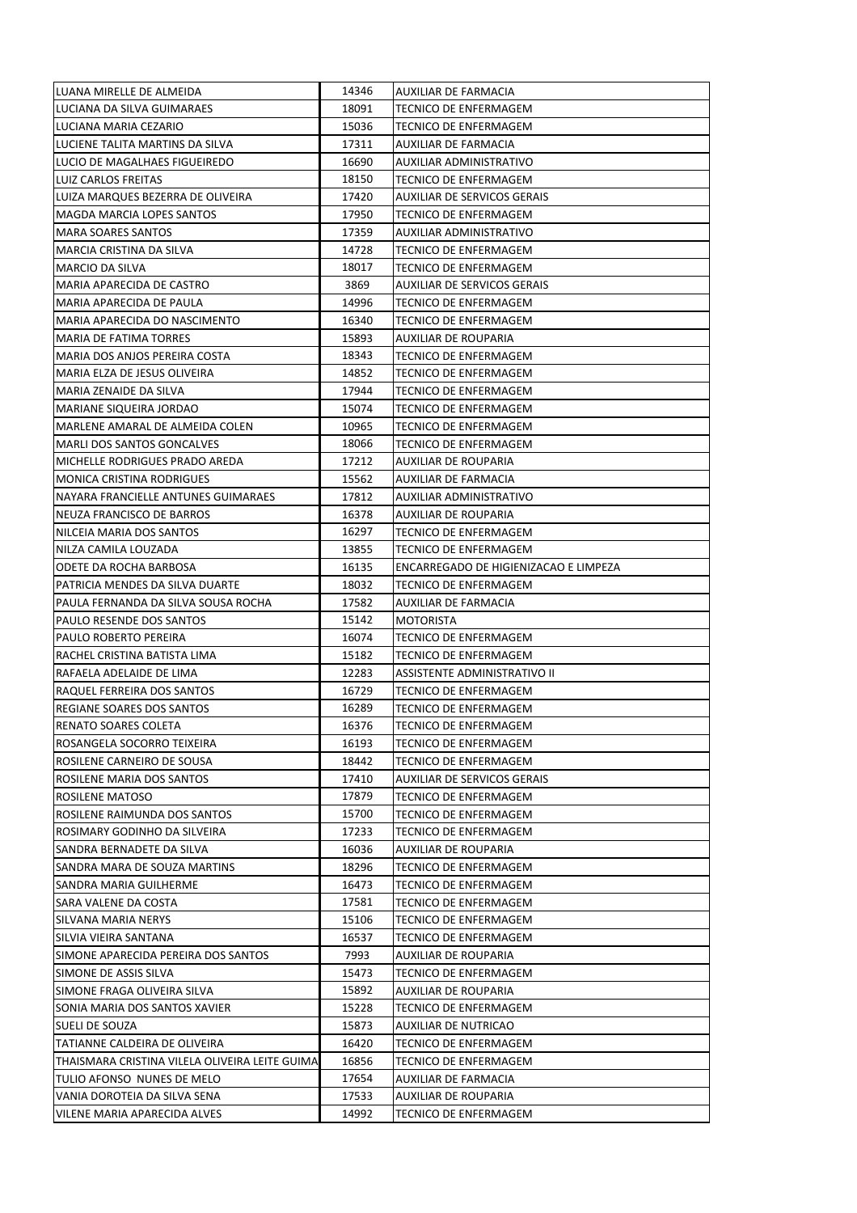| LUANA MIRELLE DE ALMEIDA                                               | 14346          | AUXILIAR DE FARMACIA                          |
|------------------------------------------------------------------------|----------------|-----------------------------------------------|
| LUCIANA DA SILVA GUIMARAES                                             | 18091          | TECNICO DE ENFERMAGEM                         |
| LUCIANA MARIA CEZARIO                                                  | 15036          | TECNICO DE ENFERMAGEM                         |
| LUCIENE TALITA MARTINS DA SILVA                                        | 17311          | AUXILIAR DE FARMACIA                          |
| LUCIO DE MAGALHAES FIGUEIREDO                                          | 16690          | AUXILIAR ADMINISTRATIVO                       |
| <b>LUIZ CARLOS FREITAS</b>                                             | 18150          | TECNICO DE ENFERMAGEM                         |
| LUIZA MARQUES BEZERRA DE OLIVEIRA                                      | 17420          | AUXILIAR DE SERVICOS GERAIS                   |
| MAGDA MARCIA LOPES SANTOS                                              | 17950          | TECNICO DE ENFERMAGEM                         |
| <b>MARA SOARES SANTOS</b>                                              | 17359          | AUXILIAR ADMINISTRATIVO                       |
| MARCIA CRISTINA DA SILVA                                               | 14728          | <b>TECNICO DE ENFERMAGEM</b>                  |
| <b>MARCIO DA SILVA</b>                                                 | 18017          | <b>TECNICO DE ENFERMAGEM</b>                  |
| <b>MARIA APARECIDA DE CASTRO</b>                                       | 3869           | <b>AUXILIAR DE SERVICOS GERAIS</b>            |
| MARIA APARECIDA DE PAULA                                               | 14996          | TECNICO DE ENFERMAGEM                         |
| MARIA APARECIDA DO NASCIMENTO                                          | 16340          | TECNICO DE ENFERMAGEM                         |
| MARIA DE FATIMA TORRES                                                 | 15893          | AUXILIAR DE ROUPARIA                          |
| MARIA DOS ANJOS PEREIRA COSTA                                          | 18343          | TECNICO DE ENFERMAGEM                         |
| MARIA ELZA DE JESUS OLIVEIRA                                           | 14852          | TECNICO DE ENFERMAGEM                         |
| MARIA ZENAIDE DA SILVA                                                 | 17944          | TECNICO DE ENFERMAGEM                         |
| MARIANE SIQUEIRA JORDAO                                                | 15074          | TECNICO DE ENFERMAGEM                         |
| MARLENE AMARAL DE ALMEIDA COLEN                                        | 10965          | TECNICO DE ENFERMAGEM                         |
| <b>MARLI DOS SANTOS GONCALVES</b>                                      | 18066          | TECNICO DE ENFERMAGEM                         |
| MICHELLE RODRIGUES PRADO AREDA                                         | 17212          | AUXILIAR DE ROUPARIA                          |
| <b>MONICA CRISTINA RODRIGUES</b>                                       | 15562          | AUXILIAR DE FARMACIA                          |
| NAYARA FRANCIELLE ANTUNES GUIMARAES                                    | 17812          | AUXILIAR ADMINISTRATIVO                       |
| NEUZA FRANCISCO DE BARROS                                              | 16378          | AUXILIAR DE ROUPARIA                          |
| NILCEIA MARIA DOS SANTOS                                               | 16297          | TECNICO DE ENFERMAGEM                         |
| NILZA CAMILA LOUZADA                                                   | 13855          | TECNICO DE ENFERMAGEM                         |
| ODETE DA ROCHA BARBOSA                                                 | 16135          | ENCARREGADO DE HIGIENIZACAO E LIMPEZA         |
|                                                                        |                |                                               |
| PATRICIA MENDES DA SILVA DUARTE<br>PAULA FERNANDA DA SILVA SOUSA ROCHA | 18032<br>17582 | TECNICO DE ENFERMAGEM<br>AUXILIAR DE FARMACIA |
| PAULO RESENDE DOS SANTOS                                               | 15142          | <b>MOTORISTA</b>                              |
| PAULO ROBERTO PEREIRA                                                  | 16074          | <b>TECNICO DE ENFERMAGEM</b>                  |
| RACHEL CRISTINA BATISTA LIMA                                           | 15182          | TECNICO DE ENFERMAGEM                         |
| RAFAELA ADELAIDE DE LIMA                                               | 12283          | ASSISTENTE ADMINISTRATIVO II                  |
| RAQUEL FERREIRA DOS SANTOS                                             | 16729          | <b>TECNICO DE ENFERMAGEM</b>                  |
| REGIANE SOARES DOS SANTOS                                              | 16289          | <b>TECNICO DE ENFERMAGEM</b>                  |
| RENATO SOARES COLETA                                                   | 16376          | TECNICO DE ENFERMAGEM                         |
| ROSANGELA SOCORRO TEIXEIRA                                             | 16193          | TECNICO DE ENFERMAGEM                         |
| ROSILENE CARNEIRO DE SOUSA                                             | 18442          | TECNICO DE ENFERMAGEM                         |
| ROSILENE MARIA DOS SANTOS                                              | 17410          | AUXILIAR DE SERVICOS GERAIS                   |
| ROSILENE MATOSO                                                        | 17879          | TECNICO DE ENFERMAGEM                         |
| ROSILENE RAIMUNDA DOS SANTOS                                           | 15700          | TECNICO DE ENFERMAGEM                         |
| ROSIMARY GODINHO DA SILVEIRA                                           | 17233          | TECNICO DE ENFERMAGEM                         |
| SANDRA BERNADETE DA SILVA                                              | 16036          | AUXILIAR DE ROUPARIA                          |
| SANDRA MARA DE SOUZA MARTINS                                           | 18296          | TECNICO DE ENFERMAGEM                         |
| SANDRA MARIA GUILHERME                                                 | 16473          | <b>TECNICO DE ENFERMAGEM</b>                  |
| SARA VALENE DA COSTA                                                   | 17581          | TECNICO DE ENFERMAGEM                         |
| SILVANA MARIA NERYS                                                    | 15106          | TECNICO DE ENFERMAGEM                         |
| SILVIA VIEIRA SANTANA                                                  | 16537          | TECNICO DE ENFERMAGEM                         |
| SIMONE APARECIDA PEREIRA DOS SANTOS                                    | 7993           | AUXILIAR DE ROUPARIA                          |
| SIMONE DE ASSIS SILVA                                                  | 15473          | TECNICO DE ENFERMAGEM                         |
| SIMONE FRAGA OLIVEIRA SILVA                                            | 15892          | AUXILIAR DE ROUPARIA                          |
| SONIA MARIA DOS SANTOS XAVIER                                          | 15228          | TECNICO DE ENFERMAGEM                         |
| SUELI DE SOUZA                                                         | 15873          | AUXILIAR DE NUTRICAO                          |
| TATIANNE CALDEIRA DE OLIVEIRA                                          | 16420          | <b>TECNICO DE ENFERMAGEM</b>                  |
| THAISMARA CRISTINA VILELA OLIVEIRA LEITE GUIMA                         | 16856          | TECNICO DE ENFERMAGEM                         |
| TULIO AFONSO NUNES DE MELO                                             | 17654          | AUXILIAR DE FARMACIA                          |
| VANIA DOROTEIA DA SILVA SENA                                           | 17533          | AUXILIAR DE ROUPARIA                          |
| VILENE MARIA APARECIDA ALVES                                           | 14992          | TECNICO DE ENFERMAGEM                         |
|                                                                        |                |                                               |